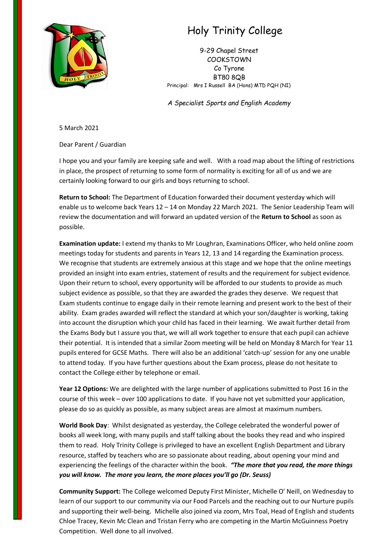

## Holy Trinity College

9-29 Chapel Street **COOKSTOWN** Co Tyrone BT80 8QB Principal: Mrs I Russell BA (Hons) MTD PQH (NI)

*A Specialist Sports and English Academy*

5 March 2021

Dear Parent / Guardian

I hope you and your family are keeping safe and well. With a road map about the lifting of restrictions in place, the prospect of returning to some form of normality is exciting for all of us and we are certainly looking forward to our girls and boys returning to school.

**Return to School:** The Department of Education forwarded their document yesterday which will enable us to welcome back Years 12 – 14 on Monday 22 March 2021. The Senior Leadership Team will review the documentation and will forward an updated version of the **Return to School** as soon as possible.

**Examination update:** I extend my thanks to Mr Loughran, Examinations Officer, who held online zoom meetings today for students and parents in Years 12, 13 and 14 regarding the Examination process. We recognise that students are extremely anxious at this stage and we hope that the online meetings provided an insight into exam entries, statement of results and the requirement for subject evidence. Upon their return to school, every opportunity will be afforded to our students to provide as much subject evidence as possible, so that they are awarded the grades they deserve. We request that Exam students continue to engage daily in their remote learning and present work to the best of their ability. Exam grades awarded will reflect the standard at which your son/daughter is working, taking into account the disruption which your child has faced in their learning. We await further detail from the Exams Body but I assure you that, we will all work together to ensure that each pupil can achieve their potential. It is intended that a similar Zoom meeting will be held on Monday 8 March for Year 11 pupils entered for GCSE Maths. There will also be an additional 'catch-up' session for any one unable to attend today. If you have further questions about the Exam process, please do not hesitate to contact the College either by telephone or email.

**Year 12 Options:** We are delighted with the large number of applications submitted to Post 16 in the course of this week – over 100 applications to date. If you have not yet submitted your application, please do so as quickly as possible, as many subject areas are almost at maximum numbers.

**World Book Day**: Whilst designated as yesterday, the College celebrated the wonderful power of books all week long, with many pupils and staff talking about the books they read and who inspired them to read. Holy Trinity College is privileged to have an excellent English Department and Library resource, staffed by teachers who are so passionate about reading, about opening your mind and experiencing the feelings of the character within the book. *"The more that you read, the more things you will know. The more you learn, the more places you'll go (Dr. Seuss)* 

**Community Support:** The College welcomed Deputy First Minister, Michelle O' Neill, on Wednesday to learn of our support to our community via our Food Parcels and the reaching out to our Nurture pupils and supporting their well-being. Michelle also joined via zoom, Mrs Toal, Head of English and students Chloe Tracey, Kevin Mc Clean and Tristan Ferry who are competing in the Martin McGuinness Poetry Competition. Well done to all involved.